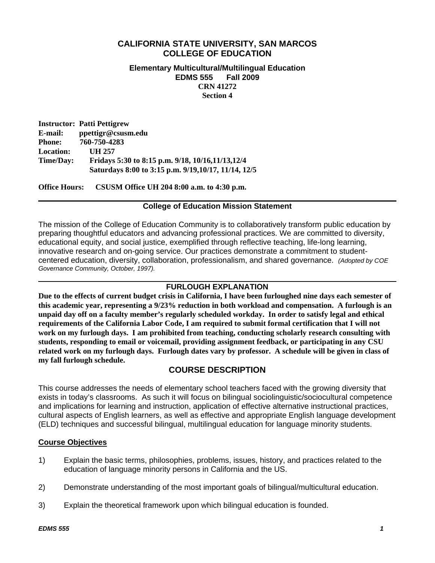# **CALIFORNIA STATE UNIVERSITY, SAN MARCOS COLLEGE OF EDUCATION**

#### **Elementary Multicultural/Multilingual Education EDMS 555 Fall 2009 CRN 41272 Section 4**

**Instructor: Patti Pettigrew E-mail: ppettigr@csusm.edu Phone: 760-750-4283 Location: UH 257 Time/Day: Fridays 5:30 to 8:15 p.m. 9/18, 10/16,11/13,12/4 Saturdays 8:00 to 3:15 p.m. 9/19,10/17, 11/14, 12/5** 

**Office Hours: CSUSM Office UH 204 8:00 a.m. to 4:30 p.m.** 

#### **College of Education Mission Statement**

The mission of the College of Education Community is to collaboratively transform public education by preparing thoughtful educators and advancing professional practices. We are committed to diversity, educational equity, and social justice, exemplified through reflective teaching, life-long learning, innovative research and on-going service. Our practices demonstrate a commitment to studentcentered education, diversity, collaboration, professionalism, and shared governance. *(Adopted by COE Governance Community, October, 1997).* 

### **FURLOUGH EXPLANATION**

**Due to the effects of current budget crisis in California, I have been furloughed nine days each semester of this academic year, representing a 9/23% reduction in both workload and compensation. A furlough is an unpaid day off on a faculty member's regularly scheduled workday. In order to satisfy legal and ethical requirements of the California Labor Code, I am required to submit formal certification that I will not work on my furlough days. I am prohibited from teaching, conducting scholarly research consulting with students, responding to email or voicemail, providing assignment feedback, or participating in any CSU related work on my furlough days. Furlough dates vary by professor. A schedule will be given in class of my fall furlough schedule.** 

# **COURSE DESCRIPTION**

This course addresses the needs of elementary school teachers faced with the growing diversity that exists in today's classrooms. As such it will focus on bilingual sociolinguistic/sociocultural competence and implications for learning and instruction, application of effective alternative instructional practices, cultural aspects of English learners, as well as effective and appropriate English language development (ELD) techniques and successful bilingual, multilingual education for language minority students.

### **Course Objectives**

- 1) Explain the basic terms, philosophies, problems, issues, history, and practices related to the education of language minority persons in California and the US.
- 2) Demonstrate understanding of the most important goals of bilingual/multicultural education.
- 3) Explain the theoretical framework upon which bilingual education is founded.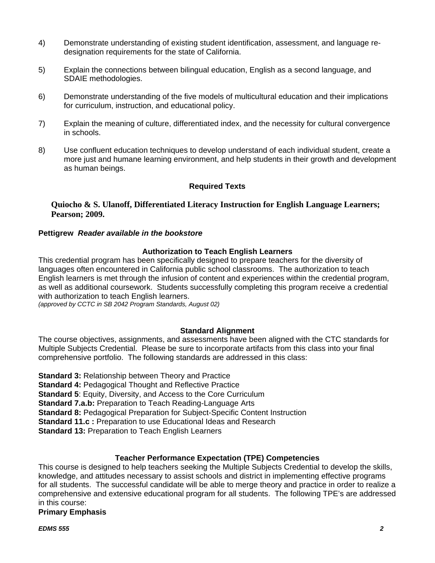- 4) Demonstrate understanding of existing student identification, assessment, and language redesignation requirements for the state of California.
- 5) Explain the connections between bilingual education, English as a second language, and SDAIE methodologies.
- 6) Demonstrate understanding of the five models of multicultural education and their implications for curriculum, instruction, and educational policy.
- 7) Explain the meaning of culture, differentiated index, and the necessity for cultural convergence in schools.
- 8) Use confluent education techniques to develop understand of each individual student, create a more just and humane learning environment, and help students in their growth and development as human beings.

### **Required Texts**

### **Quiocho & S. Ulanoff, Differentiated Literacy Instruction for English Language Learners; Pearson; 2009.**

#### **Pettigrew** *Reader available in the bookstore*

#### **Authorization to Teach English Learners**

This credential program has been specifically designed to prepare teachers for the diversity of languages often encountered in California public school classrooms. The authorization to teach English learners is met through the infusion of content and experiences within the credential program, as well as additional coursework. Students successfully completing this program receive a credential with authorization to teach English learners.

*(approved by CCTC in SB 2042 Program Standards, August 02)* 

#### **Standard Alignment**

The course objectives, assignments, and assessments have been aligned with the CTC standards for Multiple Subjects Credential. Please be sure to incorporate artifacts from this class into your final comprehensive portfolio. The following standards are addressed in this class:

**Standard 3:** Relationship between Theory and Practice **Standard 4: Pedagogical Thought and Reflective Practice Standard 5**: Equity, Diversity, and Access to the Core Curriculum **Standard 7.a.b:** Preparation to Teach Reading-Language Arts **Standard 8:** Pedagogical Preparation for Subject-Specific Content Instruction **Standard 11.c :** Preparation to use Educational Ideas and Research **Standard 13:** Preparation to Teach English Learners

### **Teacher Performance Expectation (TPE) Competencies**

This course is designed to help teachers seeking the Multiple Subjects Credential to develop the skills, knowledge, and attitudes necessary to assist schools and district in implementing effective programs for all students. The successful candidate will be able to merge theory and practice in order to realize a comprehensive and extensive educational program for all students. The following TPE's are addressed in this course:

**Primary Emphasis** 

*EDMS 555 2*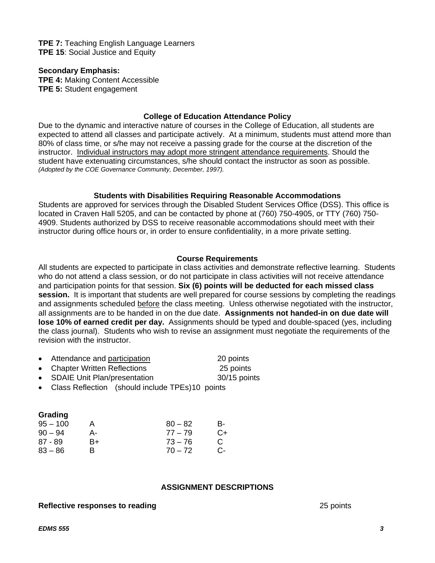**TPE 7:** Teaching English Language Learners **TPE 15: Social Justice and Equity** 

**Secondary Emphasis:** 

**TPE 4:** Making Content Accessible **TPE 5:** Student engagement

#### **College of Education Attendance Policy**

 *(Adopted by the COE Governance Community, December, 1997).* Due to the dynamic and interactive nature of courses in the College of Education, all students are expected to attend all classes and participate actively. At a minimum, students must attend more than 80% of class time, or s/he may not receive a passing grade for the course at the discretion of the instructor. Individual instructors may adopt more stringent attendance requirements. Should the student have extenuating circumstances, s/he should contact the instructor as soon as possible.

### **Students with Disabilities Requiring Reasonable Accommodations**

Students are approved for services through the Disabled Student Services Office (DSS). This office is located in Craven Hall 5205, and can be contacted by phone at (760) 750-4905, or TTY (760) 750- 4909. Students authorized by DSS to receive reasonable accommodations should meet with their instructor during office hours or, in order to ensure confidentiality, in a more private setting.

#### **Course Requirements**

All students are expected to participate in class activities and demonstrate reflective learning. Students who do not attend a class session, or do not participate in class activities will not receive attendance and participation points for that session. **Six (6) points will be deducted for each missed class session.** It is important that students are well prepared for course sessions by completing the readings and assignments scheduled before the class meeting. Unless otherwise negotiated with the instructor, all assignments are to be handed in on the due date. **Assignments not handed-in on due date will lose 10% of earned credit per day.** Assignments should be typed and double-spaced (yes, including the class journal). Students who wish to revise an assignment must negotiate the requirements of the revision with the instructor.

|  | Attendance and participation | 20 points |
|--|------------------------------|-----------|
|--|------------------------------|-----------|

- Chapter Written Reflections 25 points
- SDAIE Unit Plan/presentation 30/15 points

• Class Reflection (should include TPEs) 10 points

|    | $80 - 82$ | в- |
|----|-----------|----|
| А- | $77 - 79$ | C+ |
| B+ | $73 - 76$ | C  |
| R  | $70 - 72$ | C- |
|    |           |    |

#### **ASSIGNMENT DESCRIPTIONS**

#### **Reflective responses to reading** 25 points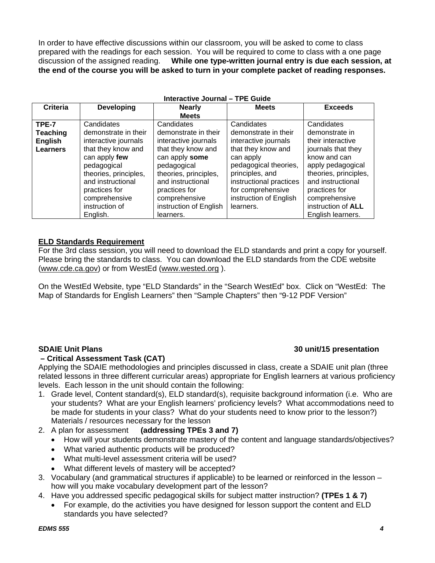In order to have effective discussions within our classroom, you will be asked to come to class prepared with the readings for each session. You will be required to come to class with a one page discussion of the assigned reading. **While one type-written journal entry is due each session, at the end of the course you will be asked to turn in your complete packet of reading responses.** 

**Interactive Journal – TPE Guide** 

| Interactive Journal – TPE Guide |                       |                        |                         |                           |
|---------------------------------|-----------------------|------------------------|-------------------------|---------------------------|
| Criteria                        | <b>Developing</b>     | <b>Nearly</b>          | <b>Meets</b>            | <b>Exceeds</b>            |
|                                 |                       | <b>Meets</b>           |                         |                           |
| TPE-7                           | Candidates            | Candidates             | Candidates              | Candidates                |
| <b>Teaching</b>                 | demonstrate in their  | demonstrate in their   | demonstrate in their    | demonstrate in            |
| <b>English</b>                  | interactive journals  | interactive journals   | interactive journals    | their interactive         |
| <b>Learners</b>                 | that they know and    | that they know and     | that they know and      | journals that they        |
|                                 | can apply few         | can apply some         | can apply               | know and can              |
|                                 | pedagogical           | pedagogical            | pedagogical theories,   | apply pedagogical         |
|                                 | theories, principles, | theories, principles,  | principles, and         | theories, principles,     |
|                                 | and instructional     | and instructional      | instructional practices | and instructional         |
|                                 | practices for         | practices for          | for comprehensive       | practices for             |
|                                 | comprehensive         | comprehensive          | instruction of English  | comprehensive             |
|                                 | instruction of        | instruction of English | learners.               | instruction of <b>ALL</b> |
|                                 | English.              | learners.              |                         | English learners.         |

#### **ELD Standards Requirement**

For the 3rd class session, you will need to download the ELD standards and print a copy for yourself. Please bring the standards to class. You can download the ELD standards from the CDE website (www.cde.ca.gov) or from WestEd (www.wested.org ).

On the WestEd Website, type "ELD Standards" in the "Search WestEd" box. Click on "WestEd: The Map of Standards for English Learners" then "Sample Chapters" then "9-12 PDF Version"

#### **– Critical Assessment Task (CAT)**

## **SDAIE Unit Plans 30 unit/15 presentation**

Applying the SDAIE methodologies and principles discussed in class, create a SDAIE unit plan (three related lessons in three different curricular areas) appropriate for English learners at various proficiency levels. Each lesson in the unit should contain the following:

- 1. Grade level, Content standard(s), ELD standard(s), requisite background information (i.e. Who are your students? What are your English learners' proficiency levels? What accommodations need to be made for students in your class? What do your students need to know prior to the lesson?) Materials / resources necessary for the lesson
- 2. A plan for assessment **(addressing TPEs 3 and 7)** 
	- How will your students demonstrate mastery of the content and language standards/objectives?
	- What varied authentic products will be produced?
	- What multi-level assessment criteria will be used?
	- What different levels of mastery will be accepted?
- 3. Vocabulary (and grammatical structures if applicable) to be learned or reinforced in the lesson how will you make vocabulary development part of the lesson?
- 4. Have you addressed specific pedagogical skills for subject matter instruction? **(TPEs 1 & 7)** 
	- For example, do the activities you have designed for lesson support the content and ELD standards you have selected?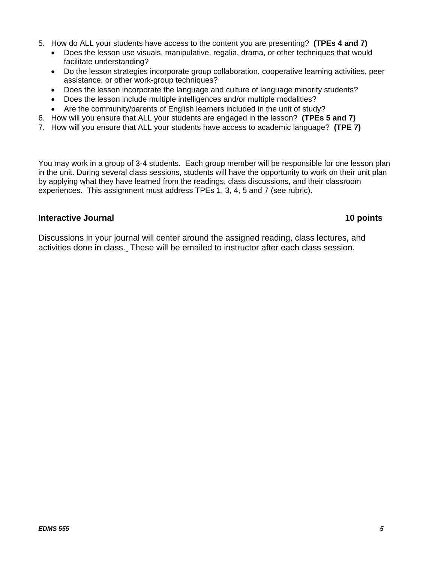- 5. How do ALL your students have access to the content you are presenting? **(TPEs 4 and 7)** 
	- Does the lesson use visuals, manipulative, regalia, drama, or other techniques that would facilitate understanding?
	- Do the lesson strategies incorporate group collaboration, cooperative learning activities, peer assistance, or other work-group techniques?
	- Does the lesson incorporate the language and culture of language minority students?
	- Does the lesson include multiple intelligences and/or multiple modalities?
	- Are the community/parents of English learners included in the unit of study?
- 6. How will you ensure that ALL your students are engaged in the lesson? **(TPEs 5 and 7)**
- 7. How will you ensure that ALL your students have access to academic language? **(TPE 7)**

You may work in a group of 3-4 students. Each group member will be responsible for one lesson plan in the unit. During several class sessions, students will have the opportunity to work on their unit plan by applying what they have learned from the readings, class discussions, and their classroom experiences. This assignment must address TPEs 1, 3, 4, 5 and 7 (see rubric).

### **Interactive Journal 10 points 10 points**

Discussions in your journal will center around the assigned reading, class lectures, and activities done in class. These will be emailed to instructor after each class session.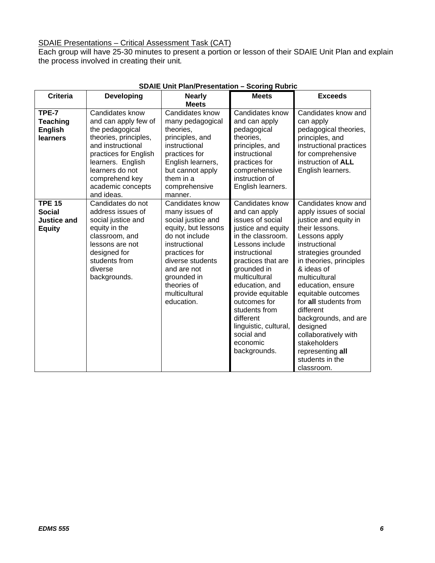#### SDAIE Presentations – Critical Assessment Task (CAT)

Each group will have 25-30 minutes to present a portion or lesson of their SDAIE Unit Plan and explain the process involved in creating their unit*.* 

| <b>Criteria</b>                                                       | <b>Developing</b>                                                                                                                                                                                                              | <b>Nearly</b><br><b>Meets</b>                                                                                                                                                                                                      | <b>Meets</b>                                                                                                                                                                                                                                                                                                                                      | <b>Exceeds</b>                                                                                                                                                                                                                                                                                                                                                                                                                |
|-----------------------------------------------------------------------|--------------------------------------------------------------------------------------------------------------------------------------------------------------------------------------------------------------------------------|------------------------------------------------------------------------------------------------------------------------------------------------------------------------------------------------------------------------------------|---------------------------------------------------------------------------------------------------------------------------------------------------------------------------------------------------------------------------------------------------------------------------------------------------------------------------------------------------|-------------------------------------------------------------------------------------------------------------------------------------------------------------------------------------------------------------------------------------------------------------------------------------------------------------------------------------------------------------------------------------------------------------------------------|
| TPE-7<br><b>Teaching</b><br><b>English</b><br>learners                | Candidates know<br>and can apply few of<br>the pedagogical<br>theories, principles,<br>and instructional<br>practices for English<br>learners. English<br>learners do not<br>comprehend key<br>academic concepts<br>and ideas. | Candidates know<br>many pedagogical<br>theories,<br>principles, and<br>instructional<br>practices for<br>English learners,<br>but cannot apply<br>them in a<br>comprehensive<br>manner.                                            | Candidates know<br>and can apply<br>pedagogical<br>theories,<br>principles, and<br>instructional<br>practices for<br>comprehensive<br>instruction of<br>English learners.                                                                                                                                                                         | Candidates know and<br>can apply<br>pedagogical theories,<br>principles, and<br>instructional practices<br>for comprehensive<br>instruction of ALL<br>English learners.                                                                                                                                                                                                                                                       |
| <b>TPE 15</b><br><b>Social</b><br><b>Justice and</b><br><b>Equity</b> | Candidates do not<br>address issues of<br>social justice and<br>equity in the<br>classroom, and<br>lessons are not<br>designed for<br>students from<br>diverse<br>backgrounds.                                                 | Candidates know<br>many issues of<br>social justice and<br>equity, but lessons<br>do not include<br>instructional<br>practices for<br>diverse students<br>and are not<br>grounded in<br>theories of<br>multicultural<br>education. | Candidates know<br>and can apply<br>issues of social<br>justice and equity<br>in the classroom.<br>Lessons include<br>instructional<br>practices that are<br>grounded in<br>multicultural<br>education, and<br>provide equitable<br>outcomes for<br>students from<br>different<br>linguistic, cultural,<br>social and<br>economic<br>backgrounds. | Candidates know and<br>apply issues of social<br>justice and equity in<br>their lessons.<br>Lessons apply<br>instructional<br>strategies grounded<br>in theories, principles<br>& ideas of<br>multicultural<br>education, ensure<br>equitable outcomes<br>for all students from<br>different<br>backgrounds, and are<br>designed<br>collaboratively with<br>stakeholders<br>representing all<br>students in the<br>classroom. |

### **SDAIE Unit Plan/Presentation – Scoring Rubric**